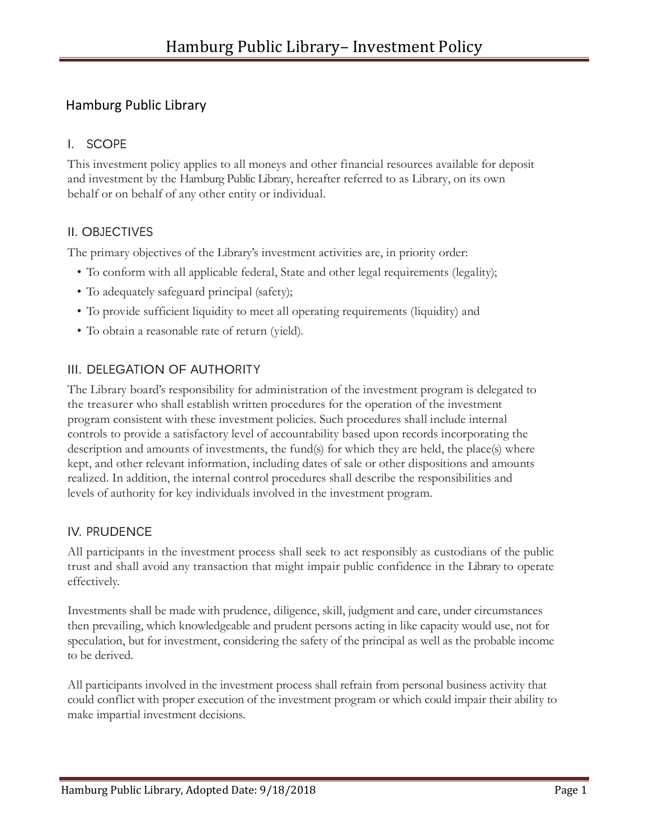# Hamburg Public Library

## I. SCOPE

This investment policy applies to all moneys and other financial resources available for deposit and investment by the Hamburg Public Library, hereafter referred to as Library, on its own behalf or on behalf of any other entity or individual.

### II. OBJECTIVES

The primary objectives of the Library's investment activities are, in priority order:

- To conform with all applicable federal, State and other legal requirements (legality);
- To adequately safeguard principal (safety);
- To provide sufficient liquidity to meet all operating requirements (liquidity) and
- To obtain a reasonable rate of return (yield).

# III. DELEGATION OF AUTHORITY

The Library board's responsibility for administration of the investment program is delegated to the treasurer who shall establish written procedures for the operation of the investment program consistent with these investment policies. Such procedures shall include internal controls to provide a satisfactory level of accountability based upon records incorporating the description and amounts of investments, the fund(s) for which they are held, the place(s) where kept, and other relevant information, including dates of sale or other dispositions and amounts realized. In addition, the internal control procedures shall describe the responsibilities and levels of authority for key individuals involved in the investment program.

# IV. PRUDENCE

All participants in the investment process shall seek to act responsibly as custodians of the public trust and shall avoid any transaction that might impair public confidence in the Library to operate effectively.

Investments shall be made with prudence, diligence, skill, judgment and care, under circumstances then prevailing, which knowledgeable and prudent persons acting in like capacity would use, not for speculation, but for investment, considering the safety of the principal as well as the probable income to be derived.

All participants involved in the investment process shall refrain from personal business activity that could conflict with proper execution of the investment program or which could impair their ability to make impartial investment decisions.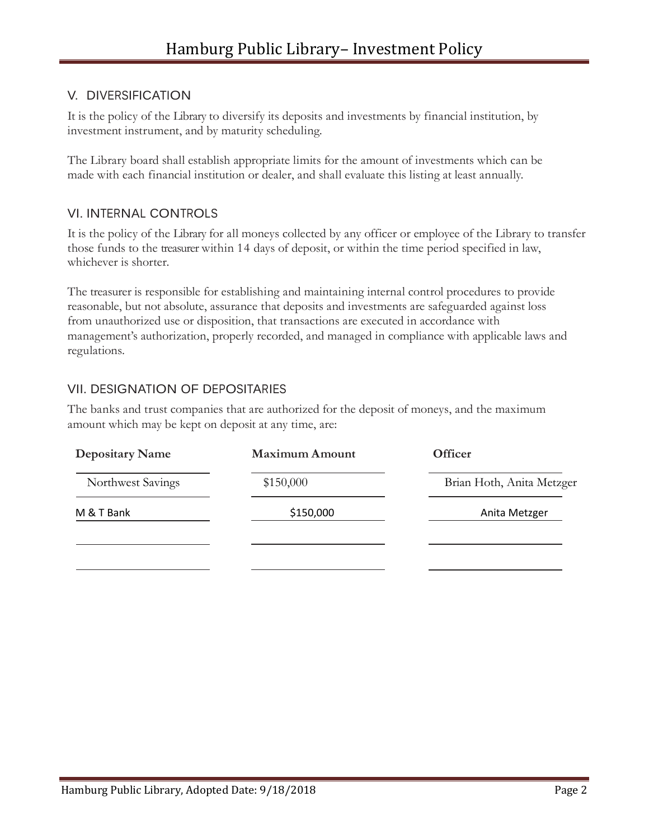### V. DIVERSIFICATION

It is the policy of the Library to diversify its deposits and investments by financial institution, by investment instrument, and by maturity scheduling.

The Library board shall establish appropriate limits for the amount of investments which can be made with each financial institution or dealer, and shall evaluate this listing at least annually.

#### VI. INTERNAL CONTROLS

It is the policy of the Library for all moneys collected by any officer or employee of the Library to transfer those funds to the treasurer within 14 days of deposit, or within the time period specified in law, whichever is shorter.

The treasurer is responsible for establishing and maintaining internal control procedures to provide reasonable, but not absolute, assurance that deposits and investments are safeguarded against loss from unauthorized use or disposition, that transactions are executed in accordance with management's authorization, properly recorded, and managed in compliance with applicable laws and regulations.

#### VII. DESIGNATION OF DEPOSITARIES

The banks and trust companies that are authorized for the deposit of moneys, and the maximum amount which may be kept on deposit at any time, are:

| <b>Depositary Name</b> | <b>Maximum Amount</b> | <b>Officer</b>            |
|------------------------|-----------------------|---------------------------|
| Northwest Savings      | \$150,000             | Brian Hoth, Anita Metzger |
| M & T Bank             | \$150,000             | Anita Metzger             |
|                        |                       |                           |
|                        |                       |                           |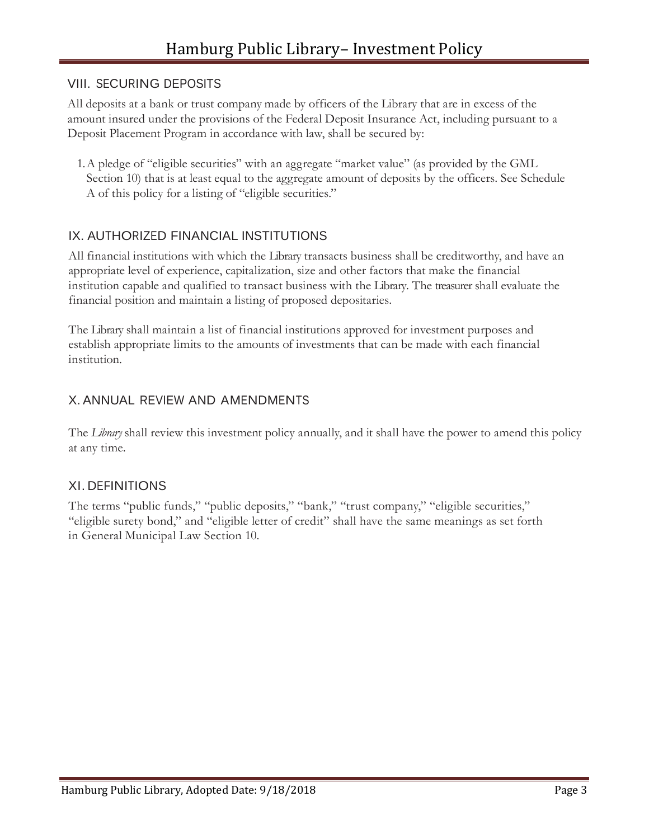#### VIII. SECURING DEPOSITS

All deposits at a bank or trust company made by officers of the Library that are in excess of the amount insured under the provisions of the Federal Deposit Insurance Act, including pursuant to a Deposit Placement Program in accordance with law, shall be secured by:

1.A pledge of "eligible securities" with an aggregate "market value" (as provided by the GML Section 10) that is at least equal to the aggregate amount of deposits by the officers. See Schedule A of this policy for a listing of "eligible securities."

## IX. AUTHORIZED FINANCIAL INSTITUTIONS

All financial institutions with which the Library transacts business shall be creditworthy, and have an appropriate level of experience, capitalization, size and other factors that make the financial institution capable and qualified to transact business with the Library. The treasurer shall evaluate the financial position and maintain a listing of proposed depositaries.

The Library shall maintain a list of financial institutions approved for investment purposes and establish appropriate limits to the amounts of investments that can be made with each financial institution.

## X. ANNUAL REVIEW AND AMENDMENTS

The *Library* shall review this investment policy annually, and it shall have the power to amend this policy at any time.

### XI. DEFINITIONS

The terms "public funds," "public deposits," "bank," "trust company," "eligible securities," "eligible surety bond," and "eligible letter of credit" shall have the same meanings as set forth in General Municipal Law Section 10.